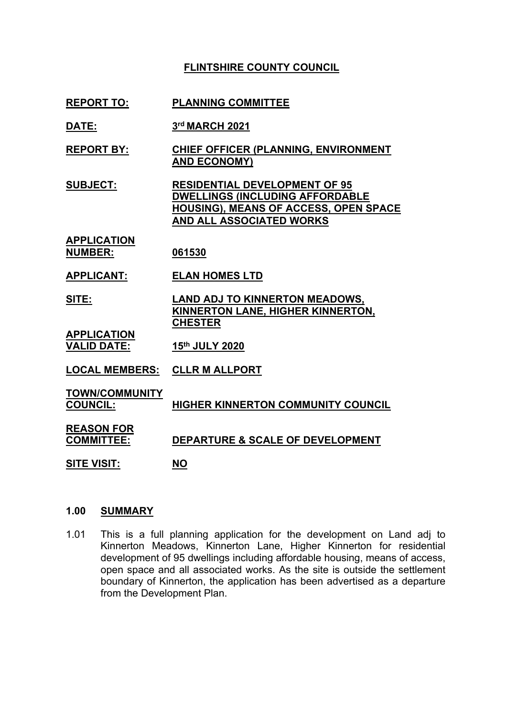# **FLINTSHIRE COUNTY COUNCIL**

- **REPORT TO: PLANNING COMMITTEE**
- **DATE: 3 rd MARCH 2021**
- **REPORT BY: CHIEF OFFICER (PLANNING, ENVIRONMENT AND ECONOMY)**
- **SUBJECT: RESIDENTIAL DEVELOPMENT OF 95 DWELLINGS (INCLUDING AFFORDABLE HOUSING), MEANS OF ACCESS, OPEN SPACE AND ALL ASSOCIATED WORKS**
- **APPLICATION NUMBER: 061530**
- **APPLICANT: ELAN HOMES LTD**
- **SITE: LAND ADJ TO KINNERTON MEADOWS, KINNERTON LANE, HIGHER KINNERTON, CHESTER**
- **APPLICATION VALID DATE: 15th JULY 2020**
- **LOCAL MEMBERS: CLLR M ALLPORT**
- **TOWN/COMMUNITY**
- **COUNCIL: HIGHER KINNERTON COMMUNITY COUNCIL**
- **REASON FOR**
- **COMMITTEE: DEPARTURE & SCALE OF DEVELOPMENT**
- **SITE VISIT: NO**

### **1.00 SUMMARY**

1.01 This is a full planning application for the development on Land adj to Kinnerton Meadows, Kinnerton Lane, Higher Kinnerton for residential development of 95 dwellings including affordable housing, means of access, open space and all associated works. As the site is outside the settlement boundary of Kinnerton, the application has been advertised as a departure from the Development Plan.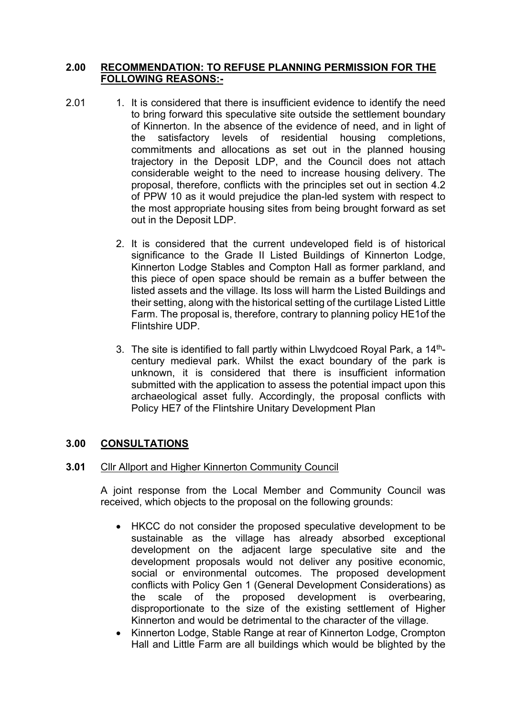## **2.00 RECOMMENDATION: TO REFUSE PLANNING PERMISSION FOR THE FOLLOWING REASONS:-**

- 2.01 1. It is considered that there is insufficient evidence to identify the need to bring forward this speculative site outside the settlement boundary of Kinnerton. In the absence of the evidence of need, and in light of the satisfactory levels of residential housing completions, commitments and allocations as set out in the planned housing trajectory in the Deposit LDP, and the Council does not attach considerable weight to the need to increase housing delivery. The proposal, therefore, conflicts with the principles set out in section 4.2 of PPW 10 as it would prejudice the plan-led system with respect to the most appropriate housing sites from being brought forward as set out in the Deposit LDP.
	- 2. It is considered that the current undeveloped field is of historical significance to the Grade II Listed Buildings of Kinnerton Lodge, Kinnerton Lodge Stables and Compton Hall as former parkland, and this piece of open space should be remain as a buffer between the listed assets and the village. Its loss will harm the Listed Buildings and their setting, along with the historical setting of the curtilage Listed Little Farm. The proposal is, therefore, contrary to planning policy HE1of the Flintshire UDP.
	- 3. The site is identified to fall partly within Llwydcoed Royal Park, a 14<sup>th</sup>century medieval park. Whilst the exact boundary of the park is unknown, it is considered that there is insufficient information submitted with the application to assess the potential impact upon this archaeological asset fully. Accordingly, the proposal conflicts with Policy HE7 of the Flintshire Unitary Development Plan

### **3.00 CONSULTATIONS**

### **3.01** Cllr Allport and Higher Kinnerton Community Council

A joint response from the Local Member and Community Council was received, which objects to the proposal on the following grounds:

- HKCC do not consider the proposed speculative development to be sustainable as the village has already absorbed exceptional development on the adjacent large speculative site and the development proposals would not deliver any positive economic, social or environmental outcomes. The proposed development conflicts with Policy Gen 1 (General Development Considerations) as the scale of the proposed development is overbearing, disproportionate to the size of the existing settlement of Higher Kinnerton and would be detrimental to the character of the village.
- Kinnerton Lodge, Stable Range at rear of Kinnerton Lodge, Crompton Hall and Little Farm are all buildings which would be blighted by the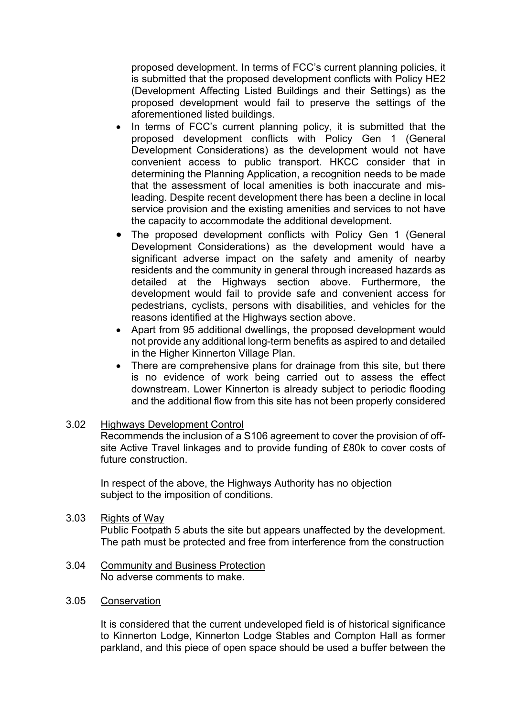proposed development. In terms of FCC's current planning policies, it is submitted that the proposed development conflicts with Policy HE2 (Development Affecting Listed Buildings and their Settings) as the proposed development would fail to preserve the settings of the aforementioned listed buildings.

- In terms of FCC's current planning policy, it is submitted that the proposed development conflicts with Policy Gen 1 (General Development Considerations) as the development would not have convenient access to public transport. HKCC consider that in determining the Planning Application, a recognition needs to be made that the assessment of local amenities is both inaccurate and misleading. Despite recent development there has been a decline in local service provision and the existing amenities and services to not have the capacity to accommodate the additional development.
- The proposed development conflicts with Policy Gen 1 (General Development Considerations) as the development would have a significant adverse impact on the safety and amenity of nearby residents and the community in general through increased hazards as detailed at the Highways section above. Furthermore, the development would fail to provide safe and convenient access for pedestrians, cyclists, persons with disabilities, and vehicles for the reasons identified at the Highways section above.
- Apart from 95 additional dwellings, the proposed development would not provide any additional long-term benefits as aspired to and detailed in the Higher Kinnerton Village Plan.
- There are comprehensive plans for drainage from this site, but there is no evidence of work being carried out to assess the effect downstream. Lower Kinnerton is already subject to periodic flooding and the additional flow from this site has not been properly considered
- 3.02 Highways Development Control

Recommends the inclusion of a S106 agreement to cover the provision of offsite Active Travel linkages and to provide funding of £80k to cover costs of future construction.

In respect of the above, the Highways Authority has no objection subject to the imposition of conditions.

3.03 **Rights of Way** 

Public Footpath 5 abuts the site but appears unaffected by the development. The path must be protected and free from interference from the construction

- 3.04 Community and Business Protection No adverse comments to make.
- 3.05 **Conservation**

It is considered that the current undeveloped field is of historical significance to Kinnerton Lodge, Kinnerton Lodge Stables and Compton Hall as former parkland, and this piece of open space should be used a buffer between the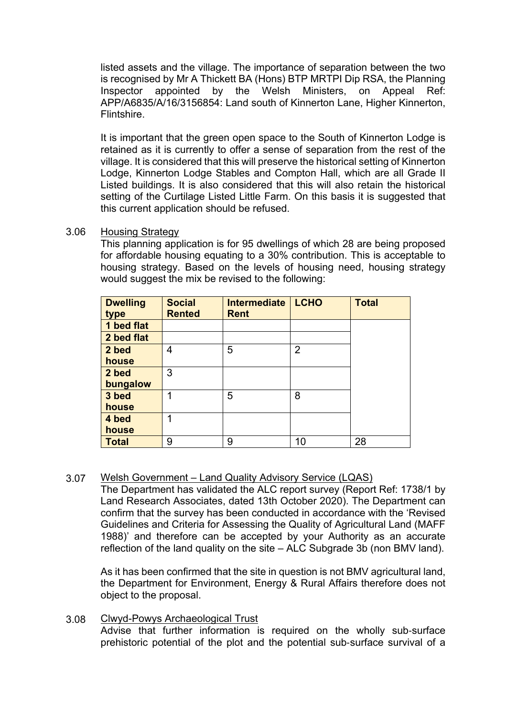listed assets and the village. The importance of separation between the two is recognised by Mr A Thickett BA (Hons) BTP MRTPI Dip RSA, the Planning Inspector appointed by the Welsh Ministers, on Appeal Ref: APP/A6835/A/16/3156854: Land south of Kinnerton Lane, Higher Kinnerton, Flintshire.

It is important that the green open space to the South of Kinnerton Lodge is retained as it is currently to offer a sense of separation from the rest of the village. It is considered that this will preserve the historical setting of Kinnerton Lodge, Kinnerton Lodge Stables and Compton Hall, which are all Grade II Listed buildings. It is also considered that this will also retain the historical setting of the Curtilage Listed Little Farm. On this basis it is suggested that this current application should be refused.

### 3.06 Housing Strategy

This planning application is for 95 dwellings of which 28 are being proposed for affordable housing equating to a 30% contribution. This is acceptable to housing strategy. Based on the levels of housing need, housing strategy would suggest the mix be revised to the following:

| <b>Dwelling</b><br>type | <b>Social</b><br><b>Rented</b> | <b>Intermediate</b><br><b>Rent</b> | <b>LCHO</b>    | <b>Total</b> |
|-------------------------|--------------------------------|------------------------------------|----------------|--------------|
| 1 bed flat              |                                |                                    |                |              |
| 2 bed flat              |                                |                                    |                |              |
| 2 bed                   | 4                              | 5                                  | $\overline{2}$ |              |
| house                   |                                |                                    |                |              |
| 2 bed                   | 3                              |                                    |                |              |
| bungalow                |                                |                                    |                |              |
| 3 bed                   | 1                              | 5                                  | 8              |              |
| house                   |                                |                                    |                |              |
| 4 bed                   | 1                              |                                    |                |              |
| house                   |                                |                                    |                |              |
| <b>Total</b>            | 9                              | 9                                  | 10             | 28           |

### 3.07 Welsh Government – Land Quality Advisory Service (LQAS)

The Department has validated the ALC report survey (Report Ref: 1738/1 by Land Research Associates, dated 13th October 2020). The Department can confirm that the survey has been conducted in accordance with the 'Revised Guidelines and Criteria for Assessing the Quality of Agricultural Land (MAFF 1988)' and therefore can be accepted by your Authority as an accurate reflection of the land quality on the site – ALC Subgrade 3b (non BMV land).

As it has been confirmed that the site in question is not BMV agricultural land, the Department for Environment, Energy & Rural Affairs therefore does not object to the proposal.

### 3.08 Clwyd-Powys Archaeological Trust

Advise that further information is required on the wholly sub-surface prehistoric potential of the plot and the potential sub‐surface survival of a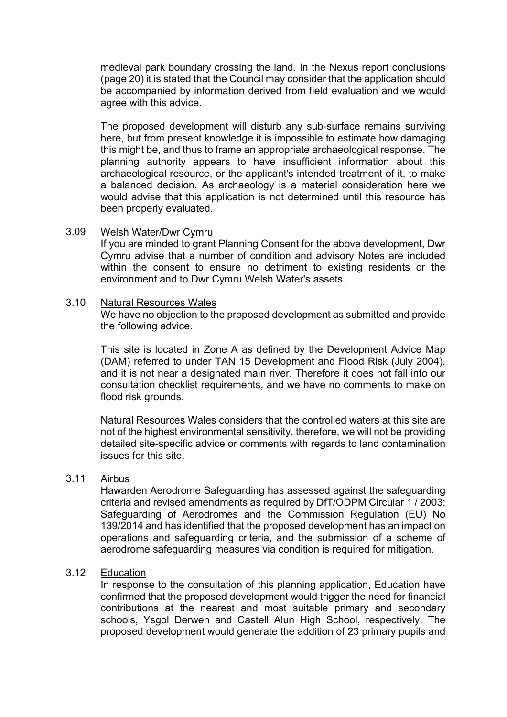medieval park boundary crossing the land. In the Nexus report conclusions (page 20) it is stated that the Council may consider that the application should be accompanied by information derived from field evaluation and we would agree with this advice.

The proposed development will disturb any sub‐surface remains surviving here, but from present knowledge it is impossible to estimate how damaging this might be, and thus to frame an appropriate archaeological response. The planning authority appears to have insufficient information about this archaeological resource, or the applicant's intended treatment of it, to make a balanced decision. As archaeology is a material consideration here we would advise that this application is not determined until this resource has been properly evaluated.

#### 3.09 Welsh Water/Dwr Cymru

If you are minded to grant Planning Consent for the above development, Dwr Cymru advise that a number of condition and advisory Notes are included within the consent to ensure no detriment to existing residents or the environment and to Dwr Cymru Welsh Water's assets.

### 3.10 Natural Resources Wales

We have no objection to the proposed development as submitted and provide the following advice.

This site is located in Zone A as defined by the Development Advice Map (DAM) referred to under TAN 15 Development and Flood Risk (July 2004), and it is not near a designated main river. Therefore it does not fall into our consultation checklist requirements, and we have no comments to make on flood risk grounds.

Natural Resources Wales considers that the controlled waters at this site are not of the highest environmental sensitivity, therefore, we will not be providing detailed site-specific advice or comments with regards to land contamination issues for this site.

#### 3.11 Airbus

Hawarden Aerodrome Safeguarding has assessed against the safeguarding criteria and revised amendments as required by DfT/ODPM Circular 1 / 2003: Safeguarding of Aerodromes and the Commission Regulation (EU) No 139/2014 and has identified that the proposed development has an impact on operations and safeguarding criteria, and the submission of a scheme of aerodrome safeguarding measures via condition is required for mitigation.

### 3.12 **Education**

In response to the consultation of this planning application, Education have confirmed that the proposed development would trigger the need for financial contributions at the nearest and most suitable primary and secondary schools, Ysgol Derwen and Castell Alun High School, respectively. The proposed development would generate the addition of 23 primary pupils and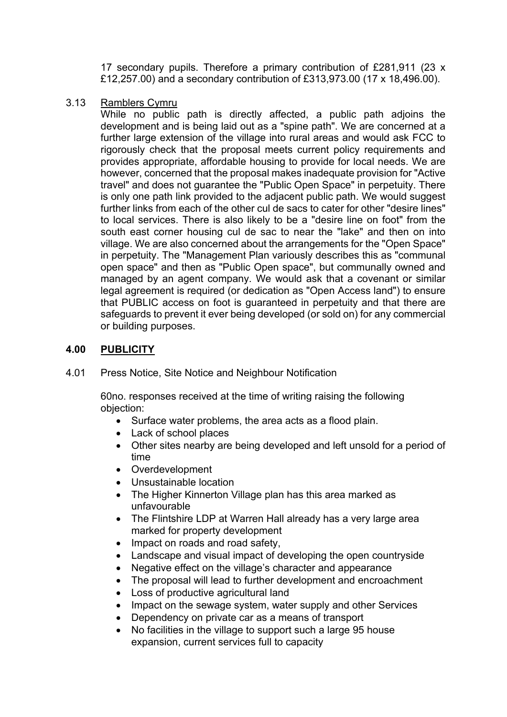17 secondary pupils. Therefore a primary contribution of £281,911 (23 x £12,257.00) and a secondary contribution of £313,973.00 (17 x 18,496.00).

### 3.13 Ramblers Cymru

While no public path is directly affected, a public path adjoins the development and is being laid out as a "spine path". We are concerned at a further large extension of the village into rural areas and would ask FCC to rigorously check that the proposal meets current policy requirements and provides appropriate, affordable housing to provide for local needs. We are however, concerned that the proposal makes inadequate provision for "Active travel" and does not guarantee the "Public Open Space" in perpetuity. There is only one path link provided to the adjacent public path. We would suggest further links from each of the other cul de sacs to cater for other "desire lines" to local services. There is also likely to be a "desire line on foot" from the south east corner housing cul de sac to near the "lake" and then on into village. We are also concerned about the arrangements for the "Open Space" in perpetuity. The "Management Plan variously describes this as "communal open space" and then as "Public Open space", but communally owned and managed by an agent company. We would ask that a covenant or similar legal agreement is required (or dedication as "Open Access land") to ensure that PUBLIC access on foot is guaranteed in perpetuity and that there are safeguards to prevent it ever being developed (or sold on) for any commercial or building purposes.

# **4.00 PUBLICITY**

4.01 Press Notice, Site Notice and Neighbour Notification

60no. responses received at the time of writing raising the following objection:

- Surface water problems, the area acts as a flood plain.
- Lack of school places
- Other sites nearby are being developed and left unsold for a period of time
- Overdevelopment
- Unsustainable location
- The Higher Kinnerton Village plan has this area marked as unfavourable
- The Flintshire LDP at Warren Hall already has a very large area marked for property development
- Impact on roads and road safety,
- Landscape and visual impact of developing the open countryside
- Negative effect on the village's character and appearance
- The proposal will lead to further development and encroachment
- Loss of productive agricultural land
- Impact on the sewage system, water supply and other Services
- Dependency on private car as a means of transport
- No facilities in the village to support such a large 95 house expansion, current services full to capacity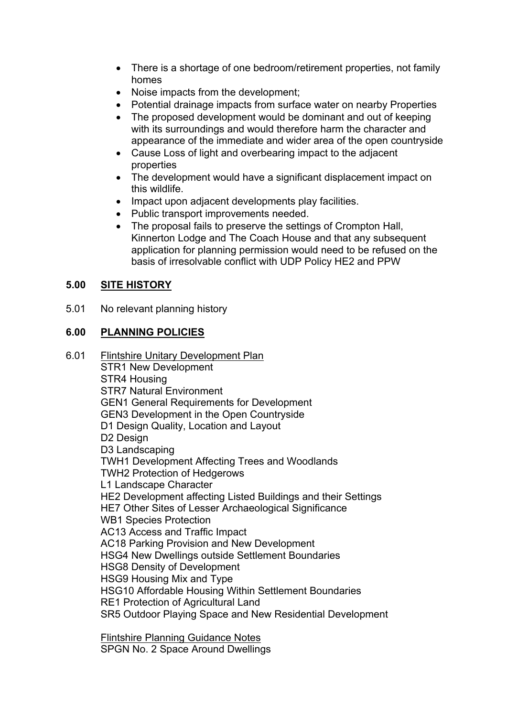- There is a shortage of one bedroom/retirement properties, not family homes
- Noise impacts from the development;
- Potential drainage impacts from surface water on nearby Properties
- The proposed development would be dominant and out of keeping with its surroundings and would therefore harm the character and appearance of the immediate and wider area of the open countryside
- Cause Loss of light and overbearing impact to the adjacent properties
- The development would have a significant displacement impact on this wildlife.
- Impact upon adjacent developments play facilities.
- Public transport improvements needed.
- The proposal fails to preserve the settings of Crompton Hall, Kinnerton Lodge and The Coach House and that any subsequent application for planning permission would need to be refused on the basis of irresolvable conflict with UDP Policy HE2 and PPW

# **5.00 SITE HISTORY**

5.01 No relevant planning history

# **6.00 PLANNING POLICIES**

6.01 Flintshire Unitary Development Plan STR1 New Development STR4 Housing STR7 Natural Environment GEN1 General Requirements for Development GEN3 Development in the Open Countryside D1 Design Quality, Location and Layout D2 Design D3 Landscaping TWH1 Development Affecting Trees and Woodlands TWH2 Protection of Hedgerows L1 Landscape Character HE2 Development affecting Listed Buildings and their Settings HE7 Other Sites of Lesser Archaeological Significance WB1 Species Protection AC13 Access and Traffic Impact AC18 Parking Provision and New Development HSG4 New Dwellings outside Settlement Boundaries HSG8 Density of Development HSG9 Housing Mix and Type HSG10 Affordable Housing Within Settlement Boundaries RE1 Protection of Agricultural Land SR5 Outdoor Playing Space and New Residential Development

> Flintshire Planning Guidance Notes SPGN No. 2 Space Around Dwellings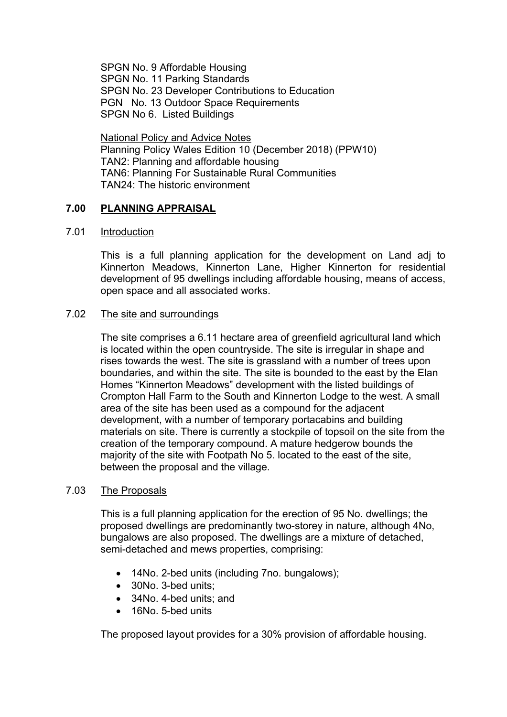SPGN No. 9 Affordable Housing SPGN No. 11 Parking Standards SPGN No. 23 Developer Contributions to Education PGN No. 13 Outdoor Space Requirements SPGN No 6. Listed Buildings

National Policy and Advice Notes Planning Policy Wales Edition 10 (December 2018) (PPW10) TAN2: Planning and affordable housing TAN6: Planning For Sustainable Rural Communities TAN24: The historic environment

## **7.00 PLANNING APPRAISAL**

### 7.01 Introduction

This is a full planning application for the development on Land adj to Kinnerton Meadows, Kinnerton Lane, Higher Kinnerton for residential development of 95 dwellings including affordable housing, means of access, open space and all associated works.

### 7.02 The site and surroundings

The site comprises a 6.11 hectare area of greenfield agricultural land which is located within the open countryside. The site is irregular in shape and rises towards the west. The site is grassland with a number of trees upon boundaries, and within the site. The site is bounded to the east by the Elan Homes "Kinnerton Meadows" development with the listed buildings of Crompton Hall Farm to the South and Kinnerton Lodge to the west. A small area of the site has been used as a compound for the adjacent development, with a number of temporary portacabins and building materials on site. There is currently a stockpile of topsoil on the site from the creation of the temporary compound. A mature hedgerow bounds the majority of the site with Footpath No 5. located to the east of the site, between the proposal and the village.

### 7.03 The Proposals

This is a full planning application for the erection of 95 No. dwellings; the proposed dwellings are predominantly two-storey in nature, although 4No, bungalows are also proposed. The dwellings are a mixture of detached, semi-detached and mews properties, comprising:

- 14No. 2-bed units (including 7no. bungalows);
- 30No. 3-bed units:
- 34No. 4-bed units: and
- 16No. 5-bed units

The proposed layout provides for a 30% provision of affordable housing.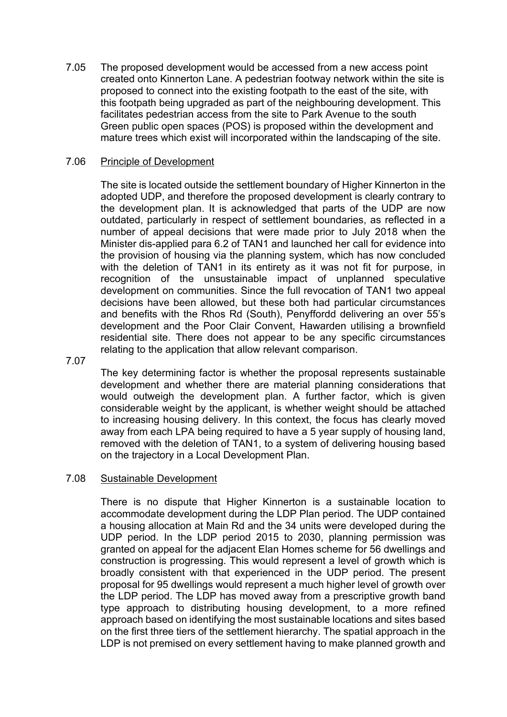7.05 The proposed development would be accessed from a new access point created onto Kinnerton Lane. A pedestrian footway network within the site is proposed to connect into the existing footpath to the east of the site, with this footpath being upgraded as part of the neighbouring development. This facilitates pedestrian access from the site to Park Avenue to the south Green public open spaces (POS) is proposed within the development and mature trees which exist will incorporated within the landscaping of the site.

### 7.06 Principle of Development

The site is located outside the settlement boundary of Higher Kinnerton in the adopted UDP, and therefore the proposed development is clearly contrary to the development plan. It is acknowledged that parts of the UDP are now outdated, particularly in respect of settlement boundaries, as reflected in a number of appeal decisions that were made prior to July 2018 when the Minister dis-applied para 6.2 of TAN1 and launched her call for evidence into the provision of housing via the planning system, which has now concluded with the deletion of TAN1 in its entirety as it was not fit for purpose, in recognition of the unsustainable impact of unplanned speculative development on communities. Since the full revocation of TAN1 two appeal decisions have been allowed, but these both had particular circumstances and benefits with the Rhos Rd (South), Penyffordd delivering an over 55's development and the Poor Clair Convent, Hawarden utilising a brownfield residential site. There does not appear to be any specific circumstances relating to the application that allow relevant comparison.

7.07

The key determining factor is whether the proposal represents sustainable development and whether there are material planning considerations that would outweigh the development plan. A further factor, which is given considerable weight by the applicant, is whether weight should be attached to increasing housing delivery. In this context, the focus has clearly moved away from each LPA being required to have a 5 year supply of housing land, removed with the deletion of TAN1, to a system of delivering housing based on the trajectory in a Local Development Plan.

#### 7.08 Sustainable Development

There is no dispute that Higher Kinnerton is a sustainable location to accommodate development during the LDP Plan period. The UDP contained a housing allocation at Main Rd and the 34 units were developed during the UDP period. In the LDP period 2015 to 2030, planning permission was granted on appeal for the adjacent Elan Homes scheme for 56 dwellings and construction is progressing. This would represent a level of growth which is broadly consistent with that experienced in the UDP period. The present proposal for 95 dwellings would represent a much higher level of growth over the LDP period. The LDP has moved away from a prescriptive growth band type approach to distributing housing development, to a more refined approach based on identifying the most sustainable locations and sites based on the first three tiers of the settlement hierarchy. The spatial approach in the LDP is not premised on every settlement having to make planned growth and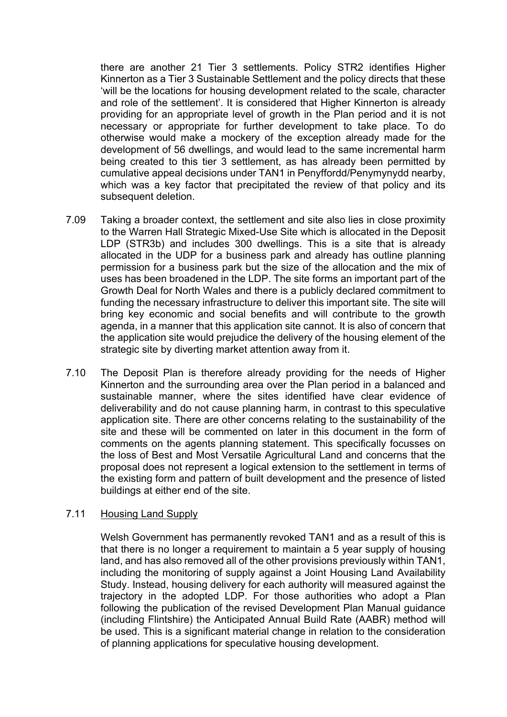there are another 21 Tier 3 settlements. Policy STR2 identifies Higher Kinnerton as a Tier 3 Sustainable Settlement and the policy directs that these 'will be the locations for housing development related to the scale, character and role of the settlement'. It is considered that Higher Kinnerton is already providing for an appropriate level of growth in the Plan period and it is not necessary or appropriate for further development to take place. To do otherwise would make a mockery of the exception already made for the development of 56 dwellings, and would lead to the same incremental harm being created to this tier 3 settlement, as has already been permitted by cumulative appeal decisions under TAN1 in Penyffordd/Penymynydd nearby, which was a key factor that precipitated the review of that policy and its subsequent deletion.

- 7.09 Taking a broader context, the settlement and site also lies in close proximity to the Warren Hall Strategic Mixed-Use Site which is allocated in the Deposit LDP (STR3b) and includes 300 dwellings. This is a site that is already allocated in the UDP for a business park and already has outline planning permission for a business park but the size of the allocation and the mix of uses has been broadened in the LDP. The site forms an important part of the Growth Deal for North Wales and there is a publicly declared commitment to funding the necessary infrastructure to deliver this important site. The site will bring key economic and social benefits and will contribute to the growth agenda, in a manner that this application site cannot. It is also of concern that the application site would prejudice the delivery of the housing element of the strategic site by diverting market attention away from it.
- 7.10 The Deposit Plan is therefore already providing for the needs of Higher Kinnerton and the surrounding area over the Plan period in a balanced and sustainable manner, where the sites identified have clear evidence of deliverability and do not cause planning harm, in contrast to this speculative application site. There are other concerns relating to the sustainability of the site and these will be commented on later in this document in the form of comments on the agents planning statement. This specifically focusses on the loss of Best and Most Versatile Agricultural Land and concerns that the proposal does not represent a logical extension to the settlement in terms of the existing form and pattern of built development and the presence of listed buildings at either end of the site.

### 7.11 Housing Land Supply

Welsh Government has permanently revoked TAN1 and as a result of this is that there is no longer a requirement to maintain a 5 year supply of housing land, and has also removed all of the other provisions previously within TAN1, including the monitoring of supply against a Joint Housing Land Availability Study. Instead, housing delivery for each authority will measured against the trajectory in the adopted LDP. For those authorities who adopt a Plan following the publication of the revised Development Plan Manual guidance (including Flintshire) the Anticipated Annual Build Rate (AABR) method will be used. This is a significant material change in relation to the consideration of planning applications for speculative housing development.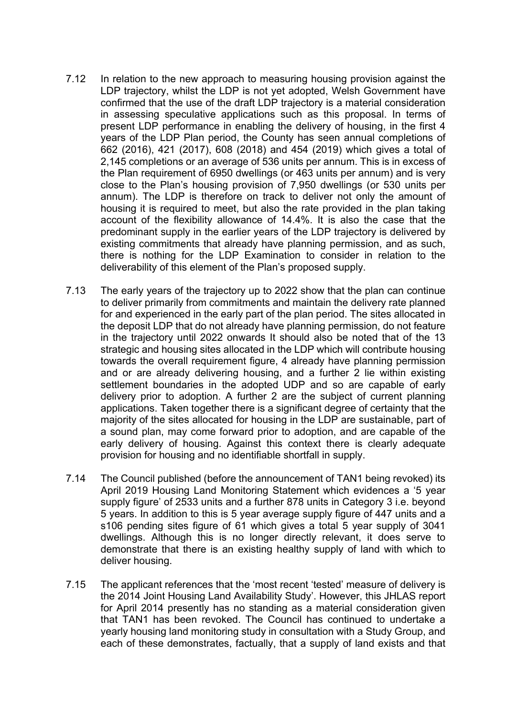- 7.12 In relation to the new approach to measuring housing provision against the LDP trajectory, whilst the LDP is not yet adopted, Welsh Government have confirmed that the use of the draft LDP trajectory is a material consideration in assessing speculative applications such as this proposal. In terms of present LDP performance in enabling the delivery of housing, in the first 4 years of the LDP Plan period, the County has seen annual completions of 662 (2016), 421 (2017), 608 (2018) and 454 (2019) which gives a total of 2,145 completions or an average of 536 units per annum. This is in excess of the Plan requirement of 6950 dwellings (or 463 units per annum) and is very close to the Plan's housing provision of 7,950 dwellings (or 530 units per annum). The LDP is therefore on track to deliver not only the amount of housing it is required to meet, but also the rate provided in the plan taking account of the flexibility allowance of 14.4%. It is also the case that the predominant supply in the earlier years of the LDP trajectory is delivered by existing commitments that already have planning permission, and as such, there is nothing for the LDP Examination to consider in relation to the deliverability of this element of the Plan's proposed supply.
- 7.13 The early years of the trajectory up to 2022 show that the plan can continue to deliver primarily from commitments and maintain the delivery rate planned for and experienced in the early part of the plan period. The sites allocated in the deposit LDP that do not already have planning permission, do not feature in the trajectory until 2022 onwards It should also be noted that of the 13 strategic and housing sites allocated in the LDP which will contribute housing towards the overall requirement figure, 4 already have planning permission and or are already delivering housing, and a further 2 lie within existing settlement boundaries in the adopted UDP and so are capable of early delivery prior to adoption. A further 2 are the subject of current planning applications. Taken together there is a significant degree of certainty that the majority of the sites allocated for housing in the LDP are sustainable, part of a sound plan, may come forward prior to adoption, and are capable of the early delivery of housing. Against this context there is clearly adequate provision for housing and no identifiable shortfall in supply.
- 7.14 The Council published (before the announcement of TAN1 being revoked) its April 2019 Housing Land Monitoring Statement which evidences a '5 year supply figure' of 2533 units and a further 878 units in Category 3 i.e. beyond 5 years. In addition to this is 5 year average supply figure of 447 units and a s106 pending sites figure of 61 which gives a total 5 year supply of 3041 dwellings. Although this is no longer directly relevant, it does serve to demonstrate that there is an existing healthy supply of land with which to deliver housing.
- 7.15 The applicant references that the 'most recent 'tested' measure of delivery is the 2014 Joint Housing Land Availability Study'. However, this JHLAS report for April 2014 presently has no standing as a material consideration given that TAN1 has been revoked. The Council has continued to undertake a yearly housing land monitoring study in consultation with a Study Group, and each of these demonstrates, factually, that a supply of land exists and that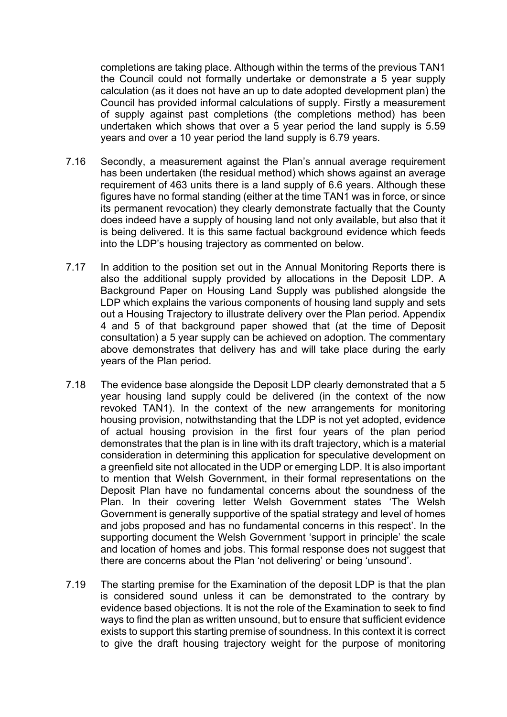completions are taking place. Although within the terms of the previous TAN1 the Council could not formally undertake or demonstrate a 5 year supply calculation (as it does not have an up to date adopted development plan) the Council has provided informal calculations of supply. Firstly a measurement of supply against past completions (the completions method) has been undertaken which shows that over a 5 year period the land supply is 5.59 years and over a 10 year period the land supply is 6.79 years.

- 7.16 Secondly, a measurement against the Plan's annual average requirement has been undertaken (the residual method) which shows against an average requirement of 463 units there is a land supply of 6.6 years. Although these figures have no formal standing (either at the time TAN1 was in force, or since its permanent revocation) they clearly demonstrate factually that the County does indeed have a supply of housing land not only available, but also that it is being delivered. It is this same factual background evidence which feeds into the LDP's housing trajectory as commented on below.
- 7.17 In addition to the position set out in the Annual Monitoring Reports there is also the additional supply provided by allocations in the Deposit LDP. A Background Paper on Housing Land Supply was published alongside the LDP which explains the various components of housing land supply and sets out a Housing Trajectory to illustrate delivery over the Plan period. Appendix 4 and 5 of that background paper showed that (at the time of Deposit consultation) a 5 year supply can be achieved on adoption. The commentary above demonstrates that delivery has and will take place during the early years of the Plan period.
- 7.18 The evidence base alongside the Deposit LDP clearly demonstrated that a 5 year housing land supply could be delivered (in the context of the now revoked TAN1). In the context of the new arrangements for monitoring housing provision, notwithstanding that the LDP is not yet adopted, evidence of actual housing provision in the first four years of the plan period demonstrates that the plan is in line with its draft trajectory, which is a material consideration in determining this application for speculative development on a greenfield site not allocated in the UDP or emerging LDP. It is also important to mention that Welsh Government, in their formal representations on the Deposit Plan have no fundamental concerns about the soundness of the Plan. In their covering letter Welsh Government states 'The Welsh Government is generally supportive of the spatial strategy and level of homes and jobs proposed and has no fundamental concerns in this respect'. In the supporting document the Welsh Government 'support in principle' the scale and location of homes and jobs. This formal response does not suggest that there are concerns about the Plan 'not delivering' or being 'unsound'.
- 7.19 The starting premise for the Examination of the deposit LDP is that the plan is considered sound unless it can be demonstrated to the contrary by evidence based objections. It is not the role of the Examination to seek to find ways to find the plan as written unsound, but to ensure that sufficient evidence exists to support this starting premise of soundness. In this context it is correct to give the draft housing trajectory weight for the purpose of monitoring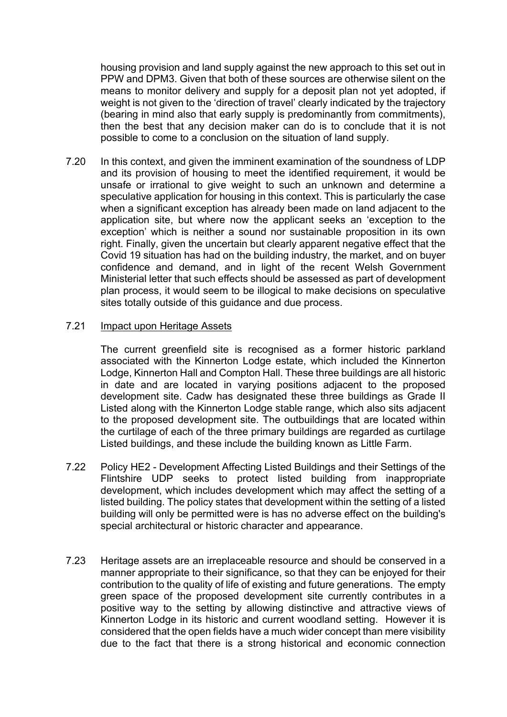housing provision and land supply against the new approach to this set out in PPW and DPM3. Given that both of these sources are otherwise silent on the means to monitor delivery and supply for a deposit plan not yet adopted, if weight is not given to the 'direction of travel' clearly indicated by the trajectory (bearing in mind also that early supply is predominantly from commitments), then the best that any decision maker can do is to conclude that it is not possible to come to a conclusion on the situation of land supply.

7.20 In this context, and given the imminent examination of the soundness of LDP and its provision of housing to meet the identified requirement, it would be unsafe or irrational to give weight to such an unknown and determine a speculative application for housing in this context. This is particularly the case when a significant exception has already been made on land adjacent to the application site, but where now the applicant seeks an 'exception to the exception' which is neither a sound nor sustainable proposition in its own right. Finally, given the uncertain but clearly apparent negative effect that the Covid 19 situation has had on the building industry, the market, and on buyer confidence and demand, and in light of the recent Welsh Government Ministerial letter that such effects should be assessed as part of development plan process, it would seem to be illogical to make decisions on speculative sites totally outside of this guidance and due process.

### 7.21 Impact upon Heritage Assets

The current greenfield site is recognised as a former historic parkland associated with the Kinnerton Lodge estate, which included the Kinnerton Lodge, Kinnerton Hall and Compton Hall. These three buildings are all historic in date and are located in varying positions adjacent to the proposed development site. Cadw has designated these three buildings as Grade II Listed along with the Kinnerton Lodge stable range, which also sits adjacent to the proposed development site. The outbuildings that are located within the curtilage of each of the three primary buildings are regarded as curtilage Listed buildings, and these include the building known as Little Farm.

- 7.22 Policy HE2 - Development Affecting Listed Buildings and their Settings of the Flintshire UDP seeks to protect listed building from inappropriate development, which includes development which may affect the setting of a listed building. The policy states that development within the setting of a listed building will only be permitted were is has no adverse effect on the building's special architectural or historic character and appearance.
- 7.23 Heritage assets are an irreplaceable resource and should be conserved in a manner appropriate to their significance, so that they can be enjoyed for their contribution to the quality of life of existing and future generations. The empty green space of the proposed development site currently contributes in a positive way to the setting by allowing distinctive and attractive views of Kinnerton Lodge in its historic and current woodland setting. However it is considered that the open fields have a much wider concept than mere visibility due to the fact that there is a strong historical and economic connection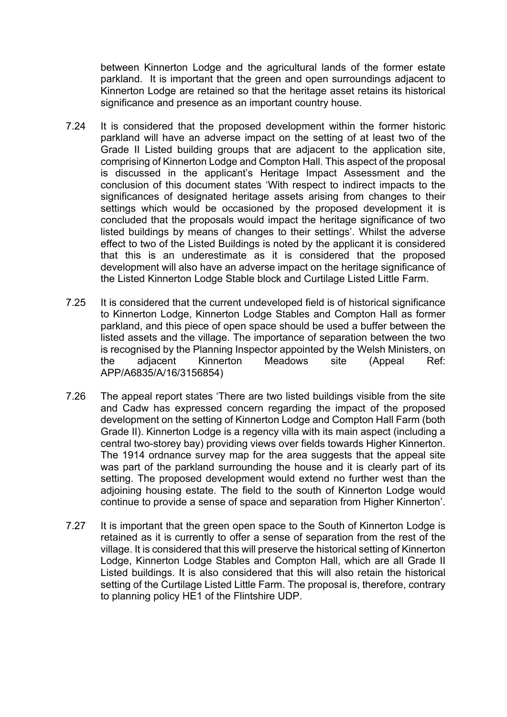between Kinnerton Lodge and the agricultural lands of the former estate parkland. It is important that the green and open surroundings adjacent to Kinnerton Lodge are retained so that the heritage asset retains its historical significance and presence as an important country house.

- 7.24 It is considered that the proposed development within the former historic parkland will have an adverse impact on the setting of at least two of the Grade II Listed building groups that are adjacent to the application site, comprising of Kinnerton Lodge and Compton Hall. This aspect of the proposal is discussed in the applicant's Heritage Impact Assessment and the conclusion of this document states 'With respect to indirect impacts to the significances of designated heritage assets arising from changes to their settings which would be occasioned by the proposed development it is concluded that the proposals would impact the heritage significance of two listed buildings by means of changes to their settings'. Whilst the adverse effect to two of the Listed Buildings is noted by the applicant it is considered that this is an underestimate as it is considered that the proposed development will also have an adverse impact on the heritage significance of the Listed Kinnerton Lodge Stable block and Curtilage Listed Little Farm.
- 7.25 It is considered that the current undeveloped field is of historical significance to Kinnerton Lodge, Kinnerton Lodge Stables and Compton Hall as former parkland, and this piece of open space should be used a buffer between the listed assets and the village. The importance of separation between the two is recognised by the Planning Inspector appointed by the Welsh Ministers, on the adjacent Kinnerton Meadows site (Appeal Ref: APP/A6835/A/16/3156854)
- 7.26 The appeal report states 'There are two listed buildings visible from the site and Cadw has expressed concern regarding the impact of the proposed development on the setting of Kinnerton Lodge and Compton Hall Farm (both Grade II). Kinnerton Lodge is a regency villa with its main aspect (including a central two-storey bay) providing views over fields towards Higher Kinnerton. The 1914 ordnance survey map for the area suggests that the appeal site was part of the parkland surrounding the house and it is clearly part of its setting. The proposed development would extend no further west than the adjoining housing estate. The field to the south of Kinnerton Lodge would continue to provide a sense of space and separation from Higher Kinnerton'.
- 7.27 It is important that the green open space to the South of Kinnerton Lodge is retained as it is currently to offer a sense of separation from the rest of the village. It is considered that this will preserve the historical setting of Kinnerton Lodge, Kinnerton Lodge Stables and Compton Hall, which are all Grade II Listed buildings. It is also considered that this will also retain the historical setting of the Curtilage Listed Little Farm. The proposal is, therefore, contrary to planning policy HE1 of the Flintshire UDP.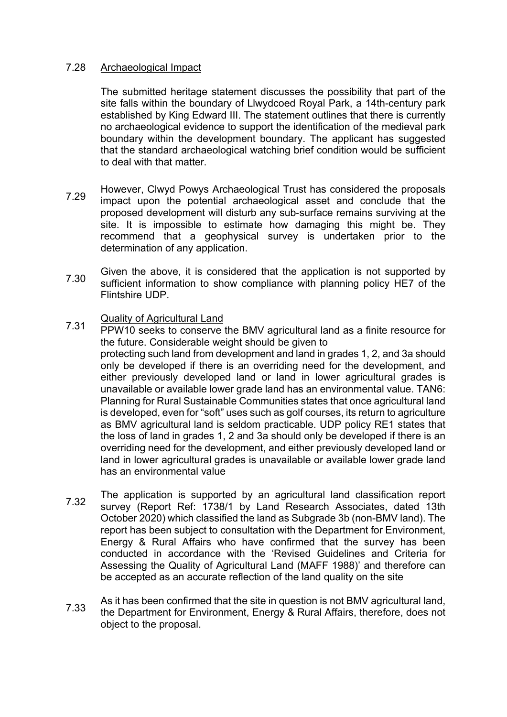### 7.28 Archaeological Impact

The submitted heritage statement discusses the possibility that part of the site falls within the boundary of Llwydcoed Royal Park, a 14th-century park established by King Edward III. The statement outlines that there is currently no archaeological evidence to support the identification of the medieval park boundary within the development boundary. The applicant has suggested that the standard archaeological watching brief condition would be sufficient to deal with that matter.

- 7.29 However, Clwyd Powys Archaeological Trust has considered the proposals impact upon the potential archaeological asset and conclude that the proposed development will disturb any sub‐surface remains surviving at the site. It is impossible to estimate how damaging this might be. They recommend that a geophysical survey is undertaken prior to the determination of any application.
- 7.30 Given the above, it is considered that the application is not supported by sufficient information to show compliance with planning policy HE7 of the Flintshire UDP.
- 7.31 Quality of Agricultural Land
- PPW10 seeks to conserve the BMV agricultural land as a finite resource for the future. Considerable weight should be given to protecting such land from development and land in grades 1, 2, and 3a should only be developed if there is an overriding need for the development, and either previously developed land or land in lower agricultural grades is unavailable or available lower grade land has an environmental value. TAN6: Planning for Rural Sustainable Communities states that once agricultural land is developed, even for "soft" uses such as golf courses, its return to agriculture as BMV agricultural land is seldom practicable. UDP policy RE1 states that the loss of land in grades 1, 2 and 3a should only be developed if there is an overriding need for the development, and either previously developed land or land in lower agricultural grades is unavailable or available lower grade land has an environmental value
- 7.32 The application is supported by an agricultural land classification report survey (Report Ref: 1738/1 by Land Research Associates, dated 13th October 2020) which classified the land as Subgrade 3b (non-BMV land). The report has been subject to consultation with the Department for Environment, Energy & Rural Affairs who have confirmed that the survey has been conducted in accordance with the 'Revised Guidelines and Criteria for Assessing the Quality of Agricultural Land (MAFF 1988)' and therefore can be accepted as an accurate reflection of the land quality on the site
- 7.33 As it has been confirmed that the site in question is not BMV agricultural land, the Department for Environment, Energy & Rural Affairs, therefore, does not object to the proposal.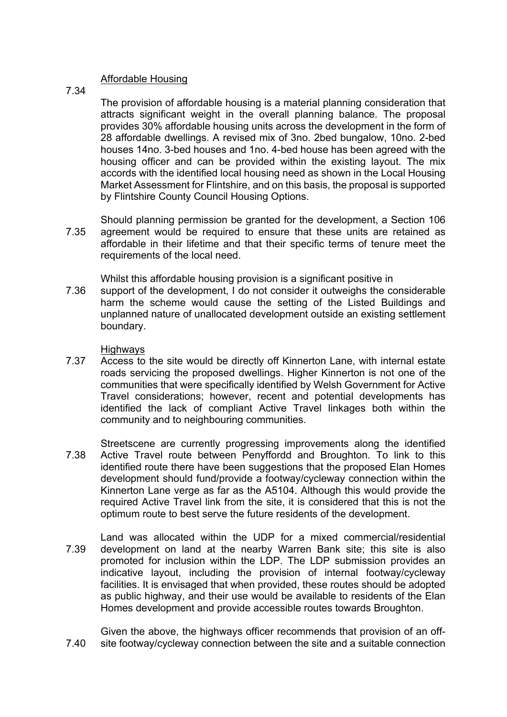### Affordable Housing

7.34

The provision of affordable housing is a material planning consideration that attracts significant weight in the overall planning balance. The proposal provides 30% affordable housing units across the development in the form of 28 affordable dwellings. A revised mix of 3no. 2bed bungalow, 10no. 2-bed houses 14no. 3-bed houses and 1no. 4-bed house has been agreed with the housing officer and can be provided within the existing layout. The mix accords with the identified local housing need as shown in the Local Housing Market Assessment for Flintshire, and on this basis, the proposal is supported by Flintshire County Council Housing Options.

7.35 Should planning permission be granted for the development, a Section 106 agreement would be required to ensure that these units are retained as affordable in their lifetime and that their specific terms of tenure meet the requirements of the local need.

Whilst this affordable housing provision is a significant positive in

7.36 support of the development, I do not consider it outweighs the considerable harm the scheme would cause the setting of the Listed Buildings and unplanned nature of unallocated development outside an existing settlement boundary.

**Highways** 

- 7.37 Access to the site would be directly off Kinnerton Lane, with internal estate roads servicing the proposed dwellings. Higher Kinnerton is not one of the communities that were specifically identified by Welsh Government for Active Travel considerations; however, recent and potential developments has identified the lack of compliant Active Travel linkages both within the community and to neighbouring communities.
- 7.38 Streetscene are currently progressing improvements along the identified Active Travel route between Penyffordd and Broughton. To link to this identified route there have been suggestions that the proposed Elan Homes development should fund/provide a footway/cycleway connection within the Kinnerton Lane verge as far as the A5104. Although this would provide the required Active Travel link from the site, it is considered that this is not the optimum route to best serve the future residents of the development.
- 7.39 Land was allocated within the UDP for a mixed commercial/residential development on land at the nearby Warren Bank site; this site is also promoted for inclusion within the LDP. The LDP submission provides an indicative layout, including the provision of internal footway/cycleway facilities. It is envisaged that when provided, these routes should be adopted as public highway, and their use would be available to residents of the Elan Homes development and provide accessible routes towards Broughton.
- 7.40 Given the above, the highways officer recommends that provision of an offsite footway/cycleway connection between the site and a suitable connection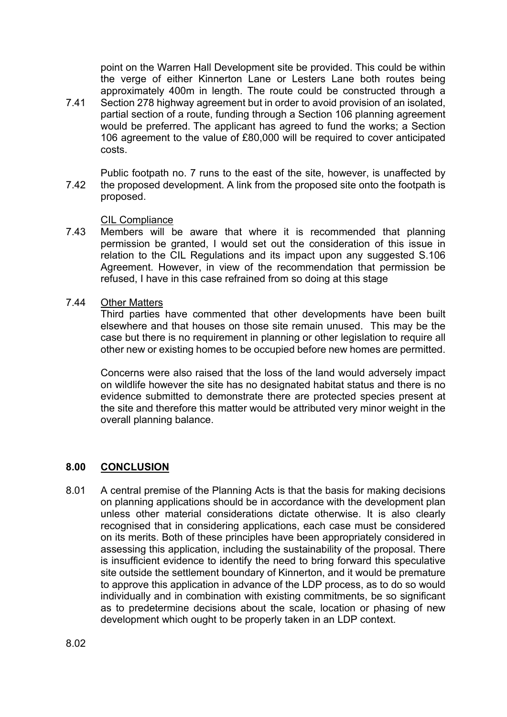point on the Warren Hall Development site be provided. This could be within the verge of either Kinnerton Lane or Lesters Lane both routes being approximately 400m in length. The route could be constructed through a

- 7.41 Section 278 highway agreement but in order to avoid provision of an isolated, partial section of a route, funding through a Section 106 planning agreement would be preferred. The applicant has agreed to fund the works; a Section 106 agreement to the value of £80,000 will be required to cover anticipated costs.
- 7.42 Public footpath no. 7 runs to the east of the site, however, is unaffected by the proposed development. A link from the proposed site onto the footpath is proposed.

CIL Compliance

- 7.43 Members will be aware that where it is recommended that planning permission be granted, I would set out the consideration of this issue in relation to the CIL Regulations and its impact upon any suggested S.106 Agreement. However, in view of the recommendation that permission be refused, I have in this case refrained from so doing at this stage
- 7.44 Other Matters

Third parties have commented that other developments have been built elsewhere and that houses on those site remain unused. This may be the case but there is no requirement in planning or other legislation to require all other new or existing homes to be occupied before new homes are permitted.

Concerns were also raised that the loss of the land would adversely impact on wildlife however the site has no designated habitat status and there is no evidence submitted to demonstrate there are protected species present at the site and therefore this matter would be attributed very minor weight in the overall planning balance.

### **8.00 CONCLUSION**

8.01 A central premise of the Planning Acts is that the basis for making decisions on planning applications should be in accordance with the development plan unless other material considerations dictate otherwise. It is also clearly recognised that in considering applications, each case must be considered on its merits. Both of these principles have been appropriately considered in assessing this application, including the sustainability of the proposal. There is insufficient evidence to identify the need to bring forward this speculative site outside the settlement boundary of Kinnerton, and it would be premature to approve this application in advance of the LDP process, as to do so would individually and in combination with existing commitments, be so significant as to predetermine decisions about the scale, location or phasing of new development which ought to be properly taken in an LDP context.